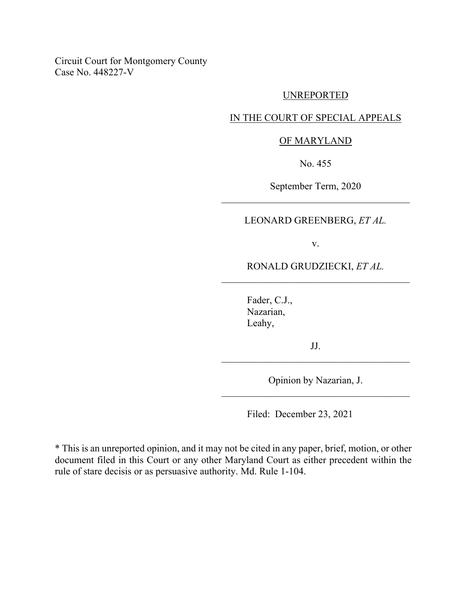Circuit Court for Montgomery County Case No. 448227-V

#### UNREPORTED

### IN THE COURT OF SPECIAL APPEALS

#### OF MARYLAND

No. 455

September Term, 2020  $\mathcal{L}_\mathcal{L}$  , where  $\mathcal{L}_\mathcal{L}$  is the set of the set of the set of the set of the set of the set of the set of the set of the set of the set of the set of the set of the set of the set of the set of the set of the

LEONARD GREENBERG, *ET AL.*

v.

RONALD GRUDZIECKI, *ET AL.*  $\mathcal{L}_\mathcal{L}$  , where the contribution of the contribution of the contribution of the contribution of the contribution of the contribution of the contribution of the contribution of the contribution of the contribution o

> Fader, C.J., Nazarian, Leahy,

JJ.  $\overline{\phantom{a}}$  , where  $\overline{\phantom{a}}$  , where  $\overline{\phantom{a}}$  , where  $\overline{\phantom{a}}$  , where  $\overline{\phantom{a}}$ 

Opinion by Nazarian, J. \_\_\_\_\_\_\_\_\_\_\_\_\_\_\_\_\_\_\_\_\_\_\_\_\_\_\_\_\_\_\_\_\_\_\_\_\_\_

Filed: December 23, 2021

\* This is an unreported opinion, and it may not be cited in any paper, brief, motion, or other document filed in this Court or any other Maryland Court as either precedent within the rule of stare decisis or as persuasive authority. Md. Rule 1-104.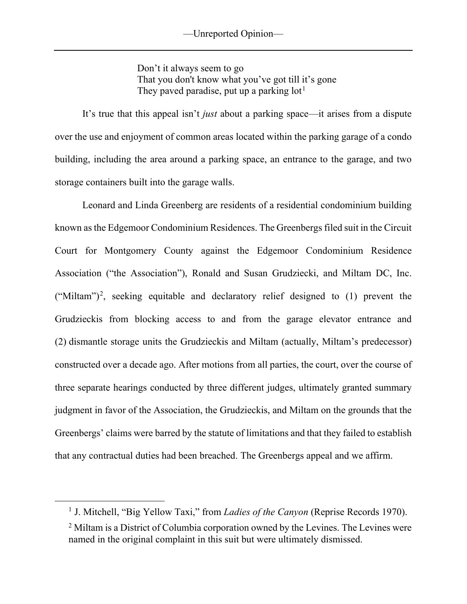Don't it always seem to go That you don't know what you've got till it's gone They paved paradise, put up a parking  $\text{lot}^1$  $\text{lot}^1$ 

It's true that this appeal isn't *just* about a parking space—it arises from a dispute over the use and enjoyment of common areas located within the parking garage of a condo building, including the area around a parking space, an entrance to the garage, and two storage containers built into the garage walls.

Leonard and Linda Greenberg are residents of a residential condominium building known as the Edgemoor Condominium Residences. The Greenbergs filed suit in the Circuit Court for Montgomery County against the Edgemoor Condominium Residence Association ("the Association"), Ronald and Susan Grudziecki, and Miltam DC, Inc. ("Miltam")<sup>[2](#page-1-1)</sup>, seeking equitable and declaratory relief designed to  $(1)$  prevent the Grudzieckis from blocking access to and from the garage elevator entrance and (2) dismantle storage units the Grudzieckis and Miltam (actually, Miltam's predecessor) constructed over a decade ago. After motions from all parties, the court, over the course of three separate hearings conducted by three different judges, ultimately granted summary judgment in favor of the Association, the Grudzieckis, and Miltam on the grounds that the Greenbergs' claims were barred by the statute of limitations and that they failed to establish that any contractual duties had been breached. The Greenbergs appeal and we affirm.

<span id="page-1-0"></span><sup>1</sup> J. Mitchell, "Big Yellow Taxi," from *Ladies of the Canyon* (Reprise Records 1970).

<span id="page-1-1"></span> $2$  Miltam is a District of Columbia corporation owned by the Levines. The Levines were named in the original complaint in this suit but were ultimately dismissed.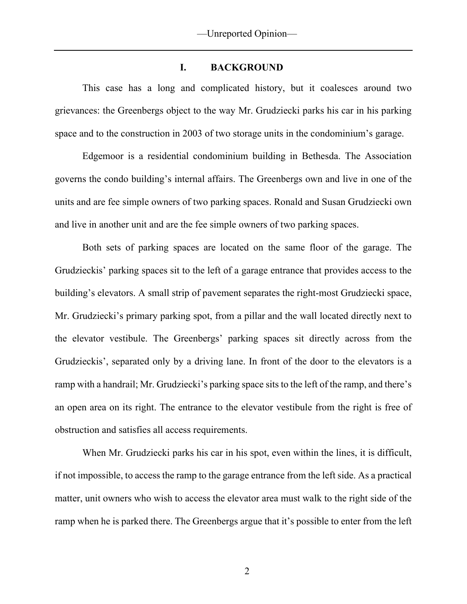#### **I. BACKGROUND**

This case has a long and complicated history, but it coalesces around two grievances: the Greenbergs object to the way Mr. Grudziecki parks his car in his parking space and to the construction in 2003 of two storage units in the condominium's garage.

Edgemoor is a residential condominium building in Bethesda. The Association governs the condo building's internal affairs. The Greenbergs own and live in one of the units and are fee simple owners of two parking spaces. Ronald and Susan Grudziecki own and live in another unit and are the fee simple owners of two parking spaces.

Both sets of parking spaces are located on the same floor of the garage. The Grudzieckis' parking spaces sit to the left of a garage entrance that provides access to the building's elevators. A small strip of pavement separates the right-most Grudziecki space, Mr. Grudziecki's primary parking spot, from a pillar and the wall located directly next to the elevator vestibule. The Greenbergs' parking spaces sit directly across from the Grudzieckis', separated only by a driving lane. In front of the door to the elevators is a ramp with a handrail; Mr. Grudziecki's parking space sits to the left of the ramp, and there's an open area on its right. The entrance to the elevator vestibule from the right is free of obstruction and satisfies all access requirements.

When Mr. Grudziecki parks his car in his spot, even within the lines, it is difficult, if not impossible, to access the ramp to the garage entrance from the left side. As a practical matter, unit owners who wish to access the elevator area must walk to the right side of the ramp when he is parked there. The Greenbergs argue that it's possible to enter from the left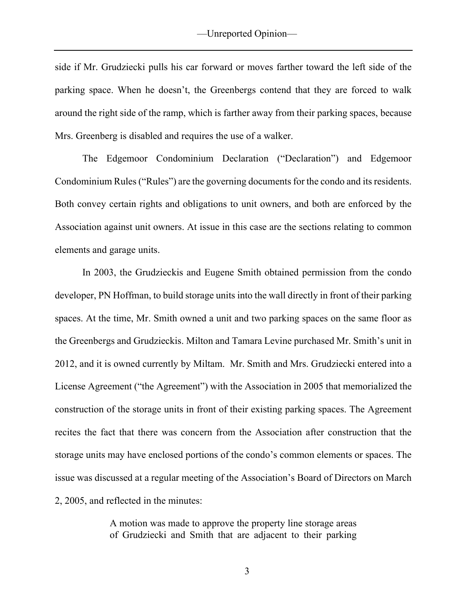side if Mr. Grudziecki pulls his car forward or moves farther toward the left side of the parking space. When he doesn't, the Greenbergs contend that they are forced to walk around the right side of the ramp, which is farther away from their parking spaces, because Mrs. Greenberg is disabled and requires the use of a walker.

The Edgemoor Condominium Declaration ("Declaration") and Edgemoor Condominium Rules ("Rules") are the governing documents for the condo and its residents. Both convey certain rights and obligations to unit owners, and both are enforced by the Association against unit owners. At issue in this case are the sections relating to common elements and garage units.

In 2003, the Grudzieckis and Eugene Smith obtained permission from the condo developer, PN Hoffman, to build storage units into the wall directly in front of their parking spaces. At the time, Mr. Smith owned a unit and two parking spaces on the same floor as the Greenbergs and Grudzieckis. Milton and Tamara Levine purchased Mr. Smith's unit in 2012, and it is owned currently by Miltam. Mr. Smith and Mrs. Grudziecki entered into a License Agreement ("the Agreement") with the Association in 2005 that memorialized the construction of the storage units in front of their existing parking spaces. The Agreement recites the fact that there was concern from the Association after construction that the storage units may have enclosed portions of the condo's common elements or spaces. The issue was discussed at a regular meeting of the Association's Board of Directors on March 2, 2005, and reflected in the minutes:

> A motion was made to approve the property line storage areas of Grudziecki and Smith that are adjacent to their parking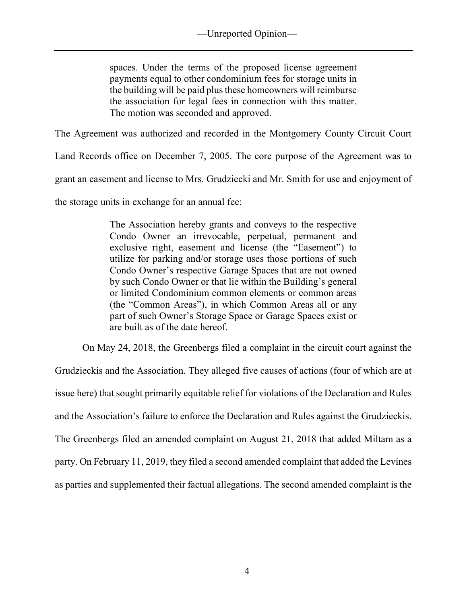spaces. Under the terms of the proposed license agreement payments equal to other condominium fees for storage units in the building will be paid plus these homeowners will reimburse the association for legal fees in connection with this matter. The motion was seconded and approved.

The Agreement was authorized and recorded in the Montgomery County Circuit Court

Land Records office on December 7, 2005. The core purpose of the Agreement was to

grant an easement and license to Mrs. Grudziecki and Mr. Smith for use and enjoyment of

the storage units in exchange for an annual fee:

The Association hereby grants and conveys to the respective Condo Owner an irrevocable, perpetual, permanent and exclusive right, easement and license (the "Easement") to utilize for parking and/or storage uses those portions of such Condo Owner's respective Garage Spaces that are not owned by such Condo Owner or that lie within the Building's general or limited Condominium common elements or common areas (the "Common Areas"), in which Common Areas all or any part of such Owner's Storage Space or Garage Spaces exist or are built as of the date hereof.

On May 24, 2018, the Greenbergs filed a complaint in the circuit court against the

Grudzieckis and the Association. They alleged five causes of actions (four of which are at issue here) that sought primarily equitable relief for violations of the Declaration and Rules and the Association's failure to enforce the Declaration and Rules against the Grudzieckis. The Greenbergs filed an amended complaint on August 21, 2018 that added Miltam as a party. On February 11, 2019, they filed a second amended complaint that added the Levines as parties and supplemented their factual allegations. The second amended complaint is the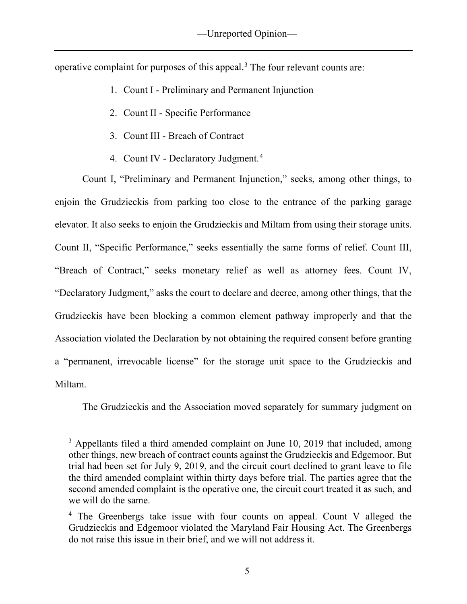operative complaint for purposes of this appeal. [3](#page-5-0) The four relevant counts are:

- 1. Count I Preliminary and Permanent Injunction
- 2. Count II Specific Performance
- 3. Count III Breach of Contract
- [4](#page-5-1). Count IV Declaratory Judgment.<sup>4</sup>

Count I, "Preliminary and Permanent Injunction," seeks, among other things, to enjoin the Grudzieckis from parking too close to the entrance of the parking garage elevator. It also seeks to enjoin the Grudzieckis and Miltam from using their storage units. Count II, "Specific Performance," seeks essentially the same forms of relief. Count III, "Breach of Contract," seeks monetary relief as well as attorney fees. Count IV, "Declaratory Judgment," asks the court to declare and decree, among other things, that the Grudzieckis have been blocking a common element pathway improperly and that the Association violated the Declaration by not obtaining the required consent before granting a "permanent, irrevocable license" for the storage unit space to the Grudzieckis and Miltam.

The Grudzieckis and the Association moved separately for summary judgment on

<span id="page-5-0"></span><sup>&</sup>lt;sup>3</sup> Appellants filed a third amended complaint on June 10, 2019 that included, among other things, new breach of contract counts against the Grudzieckis and Edgemoor. But trial had been set for July 9, 2019, and the circuit court declined to grant leave to file the third amended complaint within thirty days before trial. The parties agree that the second amended complaint is the operative one, the circuit court treated it as such, and we will do the same.

<span id="page-5-1"></span><sup>&</sup>lt;sup>4</sup> The Greenbergs take issue with four counts on appeal. Count V alleged the Grudzieckis and Edgemoor violated the Maryland Fair Housing Act. The Greenbergs do not raise this issue in their brief, and we will not address it.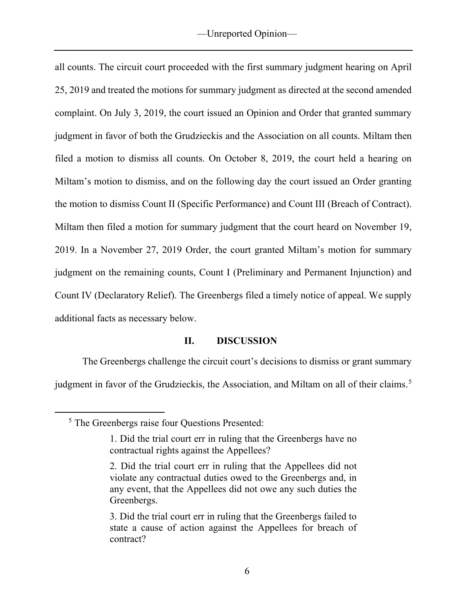all counts. The circuit court proceeded with the first summary judgment hearing on April 25, 2019 and treated the motions for summary judgment as directed at the second amended complaint. On July 3, 2019, the court issued an Opinion and Order that granted summary judgment in favor of both the Grudzieckis and the Association on all counts. Miltam then filed a motion to dismiss all counts. On October 8, 2019, the court held a hearing on Miltam's motion to dismiss, and on the following day the court issued an Order granting the motion to dismiss Count II (Specific Performance) and Count III (Breach of Contract). Miltam then filed a motion for summary judgment that the court heard on November 19, 2019. In a November 27, 2019 Order, the court granted Miltam's motion for summary judgment on the remaining counts, Count I (Preliminary and Permanent Injunction) and Count IV (Declaratory Relief). The Greenbergs filed a timely notice of appeal. We supply additional facts as necessary below.

### **II. DISCUSSION**

The Greenbergs challenge the circuit court's decisions to dismiss or grant summary judgment in favor of the Grudzieckis, the Association, and Miltam on all of their claims.<sup>[5](#page-6-0)</sup>

<span id="page-6-0"></span><sup>&</sup>lt;sup>5</sup> The Greenbergs raise four Questions Presented:

<sup>1.</sup> Did the trial court err in ruling that the Greenbergs have no contractual rights against the Appellees?

<sup>2.</sup> Did the trial court err in ruling that the Appellees did not violate any contractual duties owed to the Greenbergs and, in any event, that the Appellees did not owe any such duties the Greenbergs.

<sup>3.</sup> Did the trial court err in ruling that the Greenbergs failed to state a cause of action against the Appellees for breach of contract?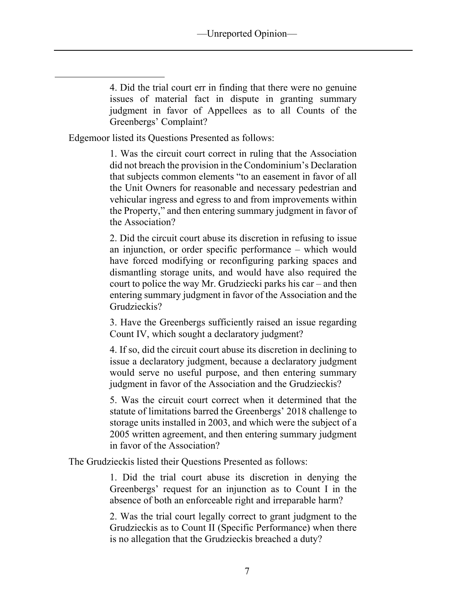4. Did the trial court err in finding that there were no genuine issues of material fact in dispute in granting summary judgment in favor of Appellees as to all Counts of the Greenbergs' Complaint?

Edgemoor listed its Questions Presented as follows:

1. Was the circuit court correct in ruling that the Association did not breach the provision in the Condominium's Declaration that subjects common elements "to an easement in favor of all the Unit Owners for reasonable and necessary pedestrian and vehicular ingress and egress to and from improvements within the Property," and then entering summary judgment in favor of the Association?

2. Did the circuit court abuse its discretion in refusing to issue an injunction, or order specific performance – which would have forced modifying or reconfiguring parking spaces and dismantling storage units, and would have also required the court to police the way Mr. Grudziecki parks his car – and then entering summary judgment in favor of the Association and the Grudzieckis?

3. Have the Greenbergs sufficiently raised an issue regarding Count IV, which sought a declaratory judgment?

4. If so, did the circuit court abuse its discretion in declining to issue a declaratory judgment, because a declaratory judgment would serve no useful purpose, and then entering summary judgment in favor of the Association and the Grudzieckis?

5. Was the circuit court correct when it determined that the statute of limitations barred the Greenbergs' 2018 challenge to storage units installed in 2003, and which were the subject of a 2005 written agreement, and then entering summary judgment in favor of the Association?

The Grudzieckis listed their Questions Presented as follows:

1. Did the trial court abuse its discretion in denying the Greenbergs' request for an injunction as to Count I in the absence of both an enforceable right and irreparable harm?

2. Was the trial court legally correct to grant judgment to the Grudzieckis as to Count II (Specific Performance) when there is no allegation that the Grudzieckis breached a duty?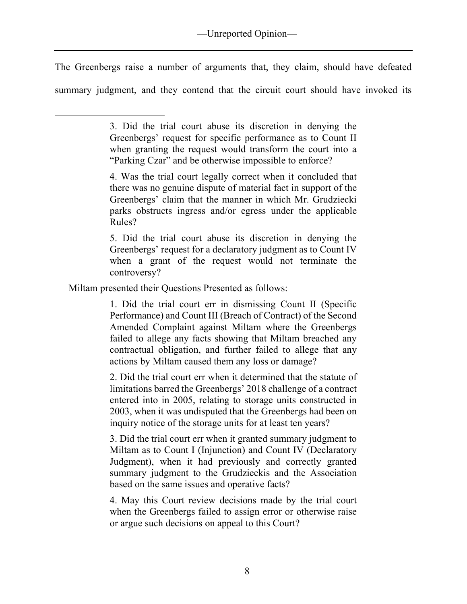The Greenbergs raise a number of arguments that, they claim, should have defeated summary judgment, and they contend that the circuit court should have invoked its

5. Did the trial court abuse its discretion in denying the Greenbergs' request for a declaratory judgment as to Count IV when a grant of the request would not terminate the controversy?

Miltam presented their Questions Presented as follows:

1. Did the trial court err in dismissing Count II (Specific Performance) and Count III (Breach of Contract) of the Second Amended Complaint against Miltam where the Greenbergs failed to allege any facts showing that Miltam breached any contractual obligation, and further failed to allege that any actions by Miltam caused them any loss or damage?

2. Did the trial court err when it determined that the statute of limitations barred the Greenbergs' 2018 challenge of a contract entered into in 2005, relating to storage units constructed in 2003, when it was undisputed that the Greenbergs had been on inquiry notice of the storage units for at least ten years?

3. Did the trial court err when it granted summary judgment to Miltam as to Count I (Injunction) and Count IV (Declaratory Judgment), when it had previously and correctly granted summary judgment to the Grudzieckis and the Association based on the same issues and operative facts?

4. May this Court review decisions made by the trial court when the Greenbergs failed to assign error or otherwise raise or argue such decisions on appeal to this Court?

<sup>3.</sup> Did the trial court abuse its discretion in denying the Greenbergs' request for specific performance as to Count II when granting the request would transform the court into a "Parking Czar" and be otherwise impossible to enforce?

<sup>4.</sup> Was the trial court legally correct when it concluded that there was no genuine dispute of material fact in support of the Greenbergs' claim that the manner in which Mr. Grudziecki parks obstructs ingress and/or egress under the applicable Rules?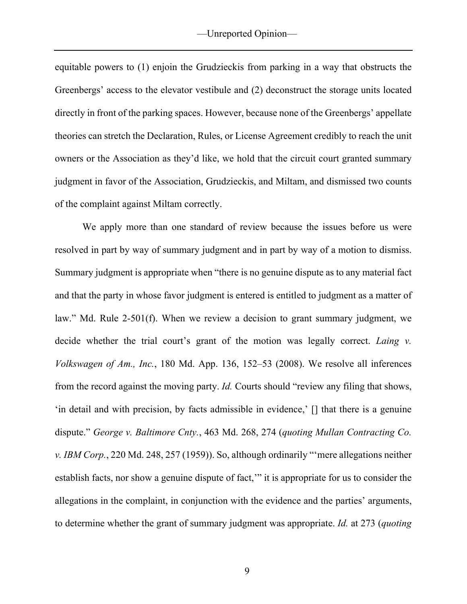equitable powers to (1) enjoin the Grudzieckis from parking in a way that obstructs the Greenbergs' access to the elevator vestibule and (2) deconstruct the storage units located directly in front of the parking spaces. However, because none of the Greenbergs' appellate theories can stretch the Declaration, Rules, or License Agreement credibly to reach the unit owners or the Association as they'd like, we hold that the circuit court granted summary judgment in favor of the Association, Grudzieckis, and Miltam, and dismissed two counts of the complaint against Miltam correctly.

We apply more than one standard of review because the issues before us were resolved in part by way of summary judgment and in part by way of a motion to dismiss. Summary judgment is appropriate when "there is no genuine dispute as to any material fact and that the party in whose favor judgment is entered is entitled to judgment as a matter of law." Md. Rule 2-501(f). When we review a decision to grant summary judgment, we decide whether the trial court's grant of the motion was legally correct. *Laing v. Volkswagen of Am., Inc.*, 180 Md. App. 136, 152–53 (2008). We resolve all inferences from the record against the moving party. *Id.* Courts should "review any filing that shows, 'in detail and with precision, by facts admissible in evidence,' [] that there is a genuine dispute." *George v. Baltimore Cnty.*, 463 Md. 268, 274 (*quoting Mullan Contracting Co. v. IBM Corp.*, 220 Md. 248, 257 (1959)). So, although ordinarily "'mere allegations neither establish facts, nor show a genuine dispute of fact,'" it is appropriate for us to consider the allegations in the complaint, in conjunction with the evidence and the parties' arguments, to determine whether the grant of summary judgment was appropriate. *Id.* at 273 (*quoting*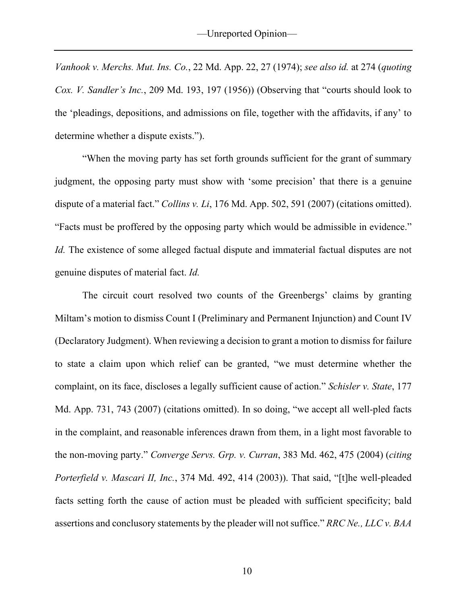*Vanhook v. Merchs. Mut. Ins. Co.*, 22 Md. App. 22, 27 (1974); *see also id.* at 274 (*quoting Cox. V. Sandler's Inc.*, 209 Md. 193, 197 (1956)) (Observing that "courts should look to the 'pleadings, depositions, and admissions on file, together with the affidavits, if any' to determine whether a dispute exists.").

"When the moving party has set forth grounds sufficient for the grant of summary judgment, the opposing party must show with 'some precision' that there is a genuine dispute of a material fact." *Collins v. Li*, 176 Md. App. 502, 591 (2007) (citations omitted). "Facts must be proffered by the opposing party which would be admissible in evidence." *Id.* The existence of some alleged factual dispute and immaterial factual disputes are not genuine disputes of material fact. *Id.* 

The circuit court resolved two counts of the Greenbergs' claims by granting Miltam's motion to dismiss Count I (Preliminary and Permanent Injunction) and Count IV (Declaratory Judgment). When reviewing a decision to grant a motion to dismiss for failure to state a claim upon which relief can be granted, "we must determine whether the complaint, on its face, discloses a legally sufficient cause of action." *Schisler v. State*, 177 Md. App. 731, 743 (2007) (citations omitted). In so doing, "we accept all well-pled facts in the complaint, and reasonable inferences drawn from them, in a light most favorable to the non-moving party." *Converge Servs. Grp. v. Curran*, 383 Md. 462, 475 (2004) (*citing Porterfield v. Mascari II, Inc.*, 374 Md. 492, 414 (2003)). That said, "[t]he well-pleaded facts setting forth the cause of action must be pleaded with sufficient specificity; bald assertions and conclusory statements by the pleader will not suffice." *RRC Ne., LLC v. BAA*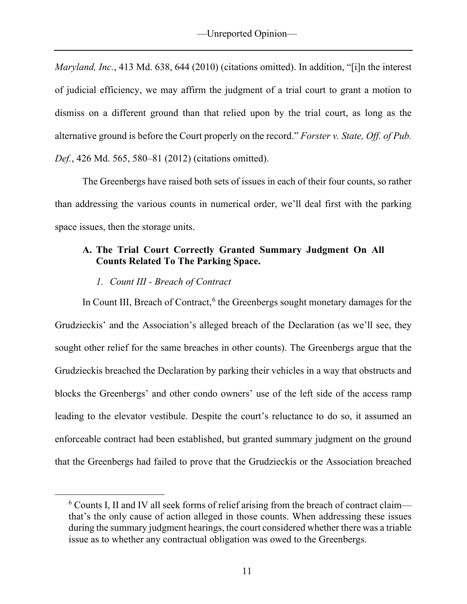*Maryland, Inc.*, 413 Md. 638, 644 (2010) (citations omitted). In addition, "[i]n the interest of judicial efficiency, we may affirm the judgment of a trial court to grant a motion to dismiss on a different ground than that relied upon by the trial court, as long as the alternative ground is before the Court properly on the record." *Forster v. State, Off. of Pub. Def.*, 426 Md. 565, 580–81 (2012) (citations omitted).

The Greenbergs have raised both sets of issues in each of their four counts, so rather than addressing the various counts in numerical order, we'll deal first with the parking space issues, then the storage units.

# **A. The Trial Court Correctly Granted Summary Judgment On All Counts Related To The Parking Space.**

## *1. Count III - Breach of Contract*

In Count III, Breach of Contract, [6](#page-11-0) the Greenbergs sought monetary damages for the Grudzieckis' and the Association's alleged breach of the Declaration (as we'll see, they sought other relief for the same breaches in other counts). The Greenbergs argue that the Grudzieckis breached the Declaration by parking their vehicles in a way that obstructs and blocks the Greenbergs' and other condo owners' use of the left side of the access ramp leading to the elevator vestibule. Despite the court's reluctance to do so, it assumed an enforceable contract had been established, but granted summary judgment on the ground that the Greenbergs had failed to prove that the Grudzieckis or the Association breached

<span id="page-11-0"></span> $6$  Counts I, II and IV all seek forms of relief arising from the breach of contract claim that's the only cause of action alleged in those counts. When addressing these issues during the summary judgment hearings, the court considered whether there was a triable issue as to whether any contractual obligation was owed to the Greenbergs.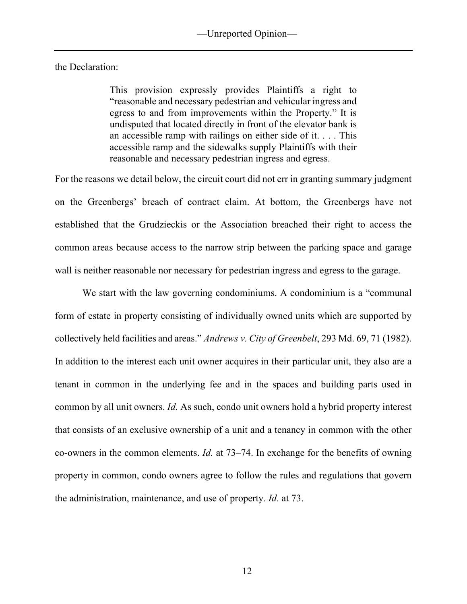the Declaration:

This provision expressly provides Plaintiffs a right to "reasonable and necessary pedestrian and vehicular ingress and egress to and from improvements within the Property." It is undisputed that located directly in front of the elevator bank is an accessible ramp with railings on either side of it. . . . This accessible ramp and the sidewalks supply Plaintiffs with their reasonable and necessary pedestrian ingress and egress.

For the reasons we detail below, the circuit court did not err in granting summary judgment on the Greenbergs' breach of contract claim. At bottom, the Greenbergs have not established that the Grudzieckis or the Association breached their right to access the common areas because access to the narrow strip between the parking space and garage wall is neither reasonable nor necessary for pedestrian ingress and egress to the garage.

We start with the law governing condominiums. A condominium is a "communal form of estate in property consisting of individually owned units which are supported by collectively held facilities and areas." *Andrews v. City of Greenbelt*, 293 Md. 69, 71 (1982). In addition to the interest each unit owner acquires in their particular unit, they also are a tenant in common in the underlying fee and in the spaces and building parts used in common by all unit owners. *Id.* As such, condo unit owners hold a hybrid property interest that consists of an exclusive ownership of a unit and a tenancy in common with the other co-owners in the common elements. *Id.* at 73–74. In exchange for the benefits of owning property in common, condo owners agree to follow the rules and regulations that govern the administration, maintenance, and use of property. *Id.* at 73.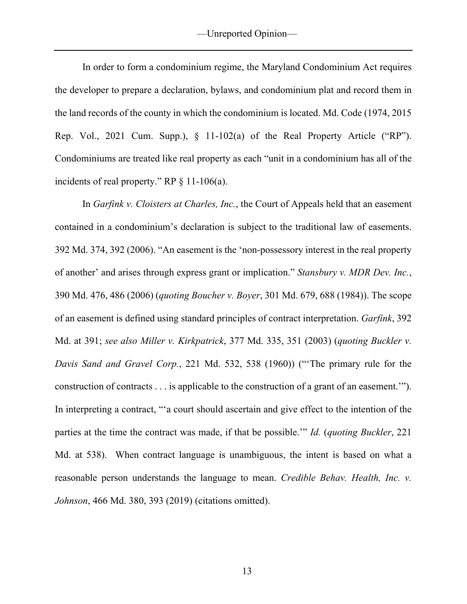In order to form a condominium regime, the Maryland Condominium Act requires the developer to prepare a declaration, bylaws, and condominium plat and record them in the land records of the county in which the condominium is located. Md. Code (1974, 2015 Rep. Vol., 2021 Cum. Supp.), § 11-102(a) of the Real Property Article ("RP"). Condominiums are treated like real property as each "unit in a condominium has all of the incidents of real property." RP § 11-106(a).

In *Garfink v. Cloisters at Charles, Inc.*, the Court of Appeals held that an easement contained in a condominium's declaration is subject to the traditional law of easements. 392 Md. 374, 392 (2006). "An easement is the 'non-possessory interest in the real property of another' and arises through express grant or implication." *Stansbury v. MDR Dev. Inc.*, 390 Md. 476, 486 (2006) (*quoting Boucher v. Boyer*, 301 Md. 679, 688 (1984)). The scope of an easement is defined using standard principles of contract interpretation. *Garfink*, 392 Md. at 391; *see also Miller v. Kirkpatrick*, 377 Md. 335, 351 (2003) (*quoting Buckler v. Davis Sand and Gravel Corp.*, 221 Md. 532, 538 (1960)) ("'The primary rule for the construction of contracts . . . is applicable to the construction of a grant of an easement.'"). In interpreting a contract, "'a court should ascertain and give effect to the intention of the parties at the time the contract was made, if that be possible.'" *Id.* (*quoting Buckler*, 221 Md. at 538). When contract language is unambiguous, the intent is based on what a reasonable person understands the language to mean. *Credible Behav. Health, Inc. v. Johnson*, 466 Md. 380, 393 (2019) (citations omitted).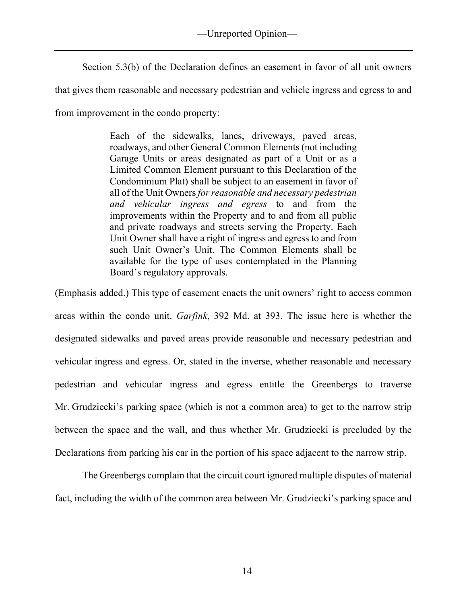Section 5.3(b) of the Declaration defines an easement in favor of all unit owners

that gives them reasonable and necessary pedestrian and vehicle ingress and egress to and

from improvement in the condo property:

Each of the sidewalks, lanes, driveways, paved areas, roadways, and other General Common Elements (not including Garage Units or areas designated as part of a Unit or as a Limited Common Element pursuant to this Declaration of the Condominium Plat) shall be subject to an easement in favor of all of the Unit Owners *for reasonable and necessary pedestrian and vehicular ingress and egress* to and from the improvements within the Property and to and from all public and private roadways and streets serving the Property. Each Unit Owner shall have a right of ingress and egress to and from such Unit Owner's Unit. The Common Elements shall be available for the type of uses contemplated in the Planning Board's regulatory approvals.

(Emphasis added.) This type of easement enacts the unit owners' right to access common areas within the condo unit. *Garfink*, 392 Md. at 393. The issue here is whether the designated sidewalks and paved areas provide reasonable and necessary pedestrian and vehicular ingress and egress. Or, stated in the inverse, whether reasonable and necessary pedestrian and vehicular ingress and egress entitle the Greenbergs to traverse Mr. Grudziecki's parking space (which is not a common area) to get to the narrow strip between the space and the wall, and thus whether Mr. Grudziecki is precluded by the Declarations from parking his car in the portion of his space adjacent to the narrow strip.

The Greenbergs complain that the circuit court ignored multiple disputes of material fact, including the width of the common area between Mr. Grudziecki's parking space and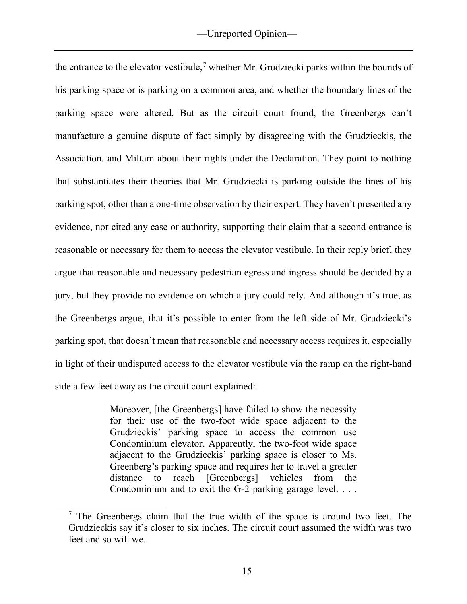the entrance to the elevator vestibule,<sup>[7](#page-15-0)</sup> whether Mr. Grudziecki parks within the bounds of his parking space or is parking on a common area, and whether the boundary lines of the parking space were altered. But as the circuit court found, the Greenbergs can't manufacture a genuine dispute of fact simply by disagreeing with the Grudzieckis, the Association, and Miltam about their rights under the Declaration. They point to nothing that substantiates their theories that Mr. Grudziecki is parking outside the lines of his parking spot, other than a one-time observation by their expert. They haven't presented any evidence, nor cited any case or authority, supporting their claim that a second entrance is reasonable or necessary for them to access the elevator vestibule. In their reply brief, they argue that reasonable and necessary pedestrian egress and ingress should be decided by a jury, but they provide no evidence on which a jury could rely. And although it's true, as the Greenbergs argue, that it's possible to enter from the left side of Mr. Grudziecki's parking spot, that doesn't mean that reasonable and necessary access requires it, especially in light of their undisputed access to the elevator vestibule via the ramp on the right-hand side a few feet away as the circuit court explained:

> Moreover, [the Greenbergs] have failed to show the necessity for their use of the two-foot wide space adjacent to the Grudzieckis' parking space to access the common use Condominium elevator. Apparently, the two-foot wide space adjacent to the Grudzieckis' parking space is closer to Ms. Greenberg's parking space and requires her to travel a greater distance to reach [Greenbergs] vehicles from the Condominium and to exit the G-2 parking garage level. . . .

<span id="page-15-0"></span> $7$  The Greenbergs claim that the true width of the space is around two feet. The Grudzieckis say it's closer to six inches. The circuit court assumed the width was two feet and so will we.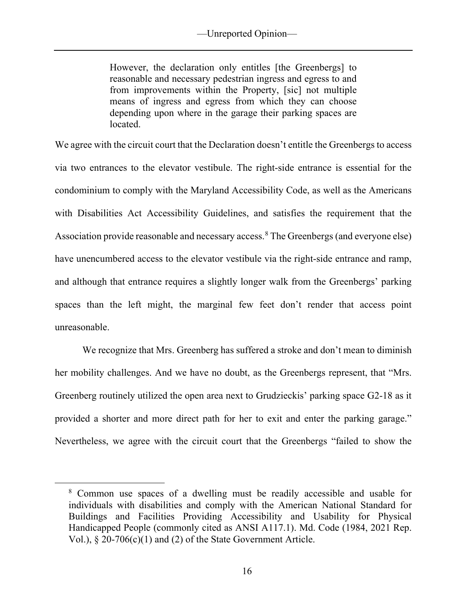However, the declaration only entitles [the Greenbergs] to reasonable and necessary pedestrian ingress and egress to and from improvements within the Property, [sic] not multiple means of ingress and egress from which they can choose depending upon where in the garage their parking spaces are located.

We agree with the circuit court that the Declaration doesn't entitle the Greenbergs to access via two entrances to the elevator vestibule. The right-side entrance is essential for the condominium to comply with the Maryland Accessibility Code, as well as the Americans with Disabilities Act Accessibility Guidelines, and satisfies the requirement that the Association provide reasonable and necessary access. [8](#page-16-0) The Greenbergs (and everyone else) have unencumbered access to the elevator vestibule via the right-side entrance and ramp, and although that entrance requires a slightly longer walk from the Greenbergs' parking spaces than the left might, the marginal few feet don't render that access point unreasonable.

We recognize that Mrs. Greenberg has suffered a stroke and don't mean to diminish her mobility challenges. And we have no doubt, as the Greenbergs represent, that "Mrs. Greenberg routinely utilized the open area next to Grudzieckis' parking space G2-18 as it provided a shorter and more direct path for her to exit and enter the parking garage." Nevertheless, we agree with the circuit court that the Greenbergs "failed to show the

<span id="page-16-0"></span><sup>8</sup> Common use spaces of a dwelling must be readily accessible and usable for individuals with disabilities and comply with the American National Standard for Buildings and Facilities Providing Accessibility and Usability for Physical Handicapped People (commonly cited as ANSI A117.1). Md. Code (1984, 2021 Rep. Vol.), § 20-706(c)(1) and (2) of the State Government Article.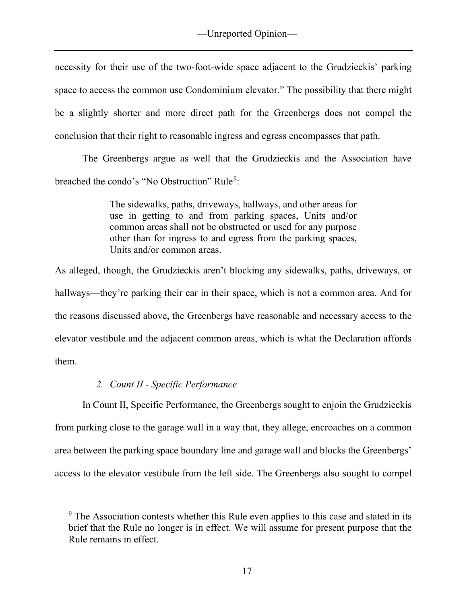necessity for their use of the two-foot-wide space adjacent to the Grudzieckis' parking space to access the common use Condominium elevator." The possibility that there might be a slightly shorter and more direct path for the Greenbergs does not compel the conclusion that their right to reasonable ingress and egress encompasses that path.

The Greenbergs argue as well that the Grudzieckis and the Association have breached the condo's "No Obstruction" Rule<sup>[9](#page-17-0)</sup>:

> The sidewalks, paths, driveways, hallways, and other areas for use in getting to and from parking spaces, Units and/or common areas shall not be obstructed or used for any purpose other than for ingress to and egress from the parking spaces, Units and/or common areas.

As alleged, though, the Grudzieckis aren't blocking any sidewalks, paths, driveways, or hallways—they're parking their car in their space, which is not a common area. And for the reasons discussed above, the Greenbergs have reasonable and necessary access to the elevator vestibule and the adjacent common areas, which is what the Declaration affords them.

## *2. Count II - Specific Performance*

In Count II, Specific Performance, the Greenbergs sought to enjoin the Grudzieckis from parking close to the garage wall in a way that, they allege, encroaches on a common area between the parking space boundary line and garage wall and blocks the Greenbergs' access to the elevator vestibule from the left side. The Greenbergs also sought to compel

<span id="page-17-0"></span> $9$  The Association contests whether this Rule even applies to this case and stated in its brief that the Rule no longer is in effect. We will assume for present purpose that the Rule remains in effect.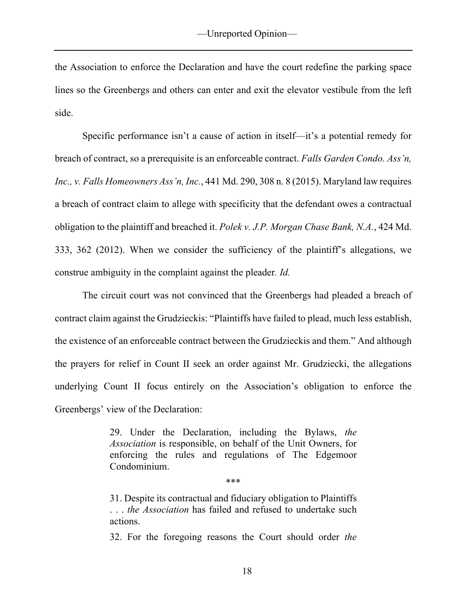the Association to enforce the Declaration and have the court redefine the parking space lines so the Greenbergs and others can enter and exit the elevator vestibule from the left side.

Specific performance isn't a cause of action in itself—it's a potential remedy for breach of contract, so a prerequisite is an enforceable contract. *Falls Garden Condo. Ass'n, Inc., v. Falls Homeowners Ass'n, Inc.*, 441 Md. 290, 308 n. 8 (2015). Maryland law requires a breach of contract claim to allege with specificity that the defendant owes a contractual obligation to the plaintiff and breached it. *Polek v. J.P. Morgan Chase Bank, N.A.*, 424 Md. 333, 362 (2012). When we consider the sufficiency of the plaintiff's allegations, we construe ambiguity in the complaint against the pleader*. Id.*

The circuit court was not convinced that the Greenbergs had pleaded a breach of contract claim against the Grudzieckis: "Plaintiffs have failed to plead, much less establish, the existence of an enforceable contract between the Grudzieckis and them." And although the prayers for relief in Count II seek an order against Mr. Grudziecki, the allegations underlying Count II focus entirely on the Association's obligation to enforce the Greenbergs' view of the Declaration:

> 29. Under the Declaration, including the Bylaws, *the Association* is responsible, on behalf of the Unit Owners, for enforcing the rules and regulations of The Edgemoor Condominium.

> 31. Despite its contractual and fiduciary obligation to Plaintiffs . . . *the Association* has failed and refused to undertake such actions.

\*\*\*

32. For the foregoing reasons the Court should order *the*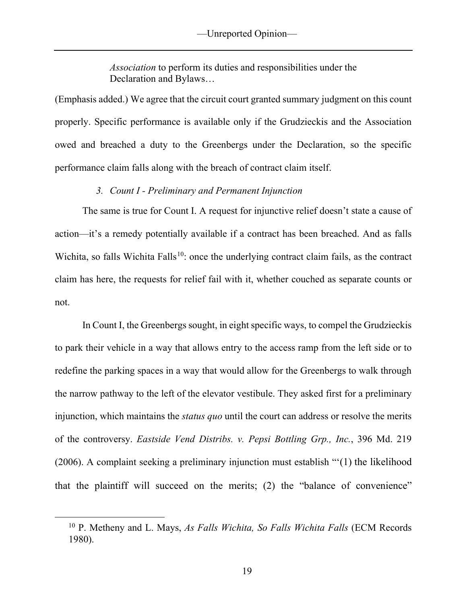*Association* to perform its duties and responsibilities under the Declaration and Bylaws…

(Emphasis added.) We agree that the circuit court granted summary judgment on this count properly. Specific performance is available only if the Grudzieckis and the Association owed and breached a duty to the Greenbergs under the Declaration, so the specific performance claim falls along with the breach of contract claim itself.

## *3. Count I - Preliminary and Permanent Injunction*

The same is true for Count I. A request for injunctive relief doesn't state a cause of action—it's a remedy potentially available if a contract has been breached. And as falls Wichita, so falls Wichita Falls<sup>[10](#page-19-0)</sup>: once the underlying contract claim fails, as the contract claim has here, the requests for relief fail with it, whether couched as separate counts or not.

In Count I, the Greenbergs sought, in eight specific ways, to compel the Grudzieckis to park their vehicle in a way that allows entry to the access ramp from the left side or to redefine the parking spaces in a way that would allow for the Greenbergs to walk through the narrow pathway to the left of the elevator vestibule. They asked first for a preliminary injunction, which maintains the *status quo* until the court can address or resolve the merits of the controversy. *Eastside Vend Distribs. v. Pepsi Bottling Grp., Inc.*, 396 Md. 219 (2006). A complaint seeking a preliminary injunction must establish "'(1) the likelihood that the plaintiff will succeed on the merits; (2) the "balance of convenience"

<span id="page-19-0"></span><sup>10</sup> P. Metheny and L. Mays, *As Falls Wichita, So Falls Wichita Falls* (ECM Records 1980).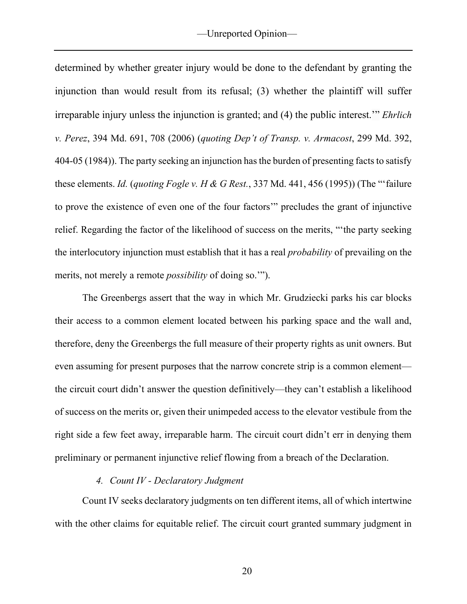determined by whether greater injury would be done to the defendant by granting the injunction than would result from its refusal; (3) whether the plaintiff will suffer irreparable injury unless the injunction is granted; and (4) the public interest.'" *Ehrlich v. Perez*, 394 Md. 691, 708 (2006) (*quoting Dep't of Transp. v. Armacost*, 299 Md. 392, 404-05 (1984)). The party seeking an injunction has the burden of presenting facts to satisfy these elements. *Id.* (*quoting Fogle v. H & G Rest.*, 337 Md. 441, 456 (1995)) (The "'failure to prove the existence of even one of the four factors'" precludes the grant of injunctive relief. Regarding the factor of the likelihood of success on the merits, "'the party seeking the interlocutory injunction must establish that it has a real *probability* of prevailing on the merits, not merely a remote *possibility* of doing so.'").

The Greenbergs assert that the way in which Mr. Grudziecki parks his car blocks their access to a common element located between his parking space and the wall and, therefore, deny the Greenbergs the full measure of their property rights as unit owners. But even assuming for present purposes that the narrow concrete strip is a common element the circuit court didn't answer the question definitively—they can't establish a likelihood of success on the merits or, given their unimpeded access to the elevator vestibule from the right side a few feet away, irreparable harm. The circuit court didn't err in denying them preliminary or permanent injunctive relief flowing from a breach of the Declaration.

# *4. Count IV - Declaratory Judgment*

Count IV seeks declaratory judgments on ten different items, all of which intertwine with the other claims for equitable relief. The circuit court granted summary judgment in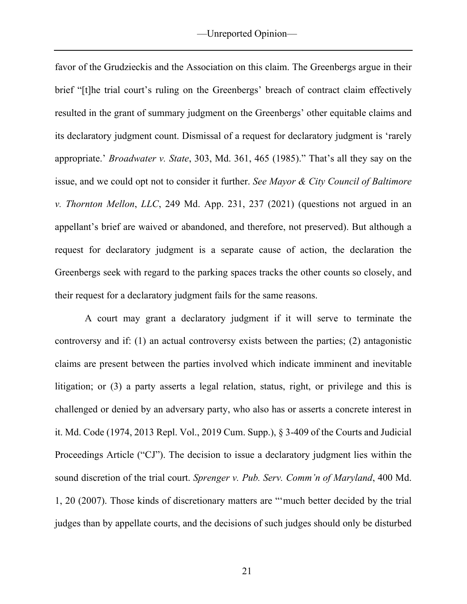favor of the Grudzieckis and the Association on this claim. The Greenbergs argue in their brief "[t]he trial court's ruling on the Greenbergs' breach of contract claim effectively resulted in the grant of summary judgment on the Greenbergs' other equitable claims and its declaratory judgment count. Dismissal of a request for declaratory judgment is 'rarely appropriate.' *Broadwater v. State*, 303, Md. 361, 465 (1985)." That's all they say on the issue, and we could opt not to consider it further. *See Mayor & City Council of Baltimore v. Thornton Mellon*, *LLC*, 249 Md. App. 231, 237 (2021) (questions not argued in an appellant's brief are waived or abandoned, and therefore, not preserved). But although a request for declaratory judgment is a separate cause of action, the declaration the Greenbergs seek with regard to the parking spaces tracks the other counts so closely, and their request for a declaratory judgment fails for the same reasons.

A court may grant a declaratory judgment if it will serve to terminate the controversy and if: (1) an actual controversy exists between the parties; (2) antagonistic claims are present between the parties involved which indicate imminent and inevitable litigation; or (3) a party asserts a legal relation, status, right, or privilege and this is challenged or denied by an adversary party, who also has or asserts a concrete interest in it. Md. Code (1974, 2013 Repl. Vol., 2019 Cum. Supp.), § 3-409 of the Courts and Judicial Proceedings Article ("CJ"). The decision to issue a declaratory judgment lies within the sound discretion of the trial court. *Sprenger v. Pub. Serv. Comm'n of Maryland*, 400 Md. 1, 20 (2007). Those kinds of discretionary matters are "'much better decided by the trial judges than by appellate courts, and the decisions of such judges should only be disturbed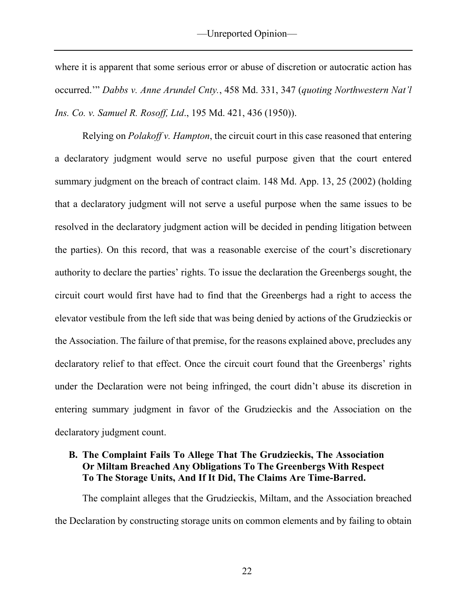where it is apparent that some serious error or abuse of discretion or autocratic action has occurred.'" *Dabbs v. Anne Arundel Cnty.*, 458 Md. 331, 347 (*quoting Northwestern Nat'l Ins. Co. v. Samuel R. Rosoff, Ltd*., 195 Md. 421, 436 (1950)).

Relying on *Polakoff v. Hampton*, the circuit court in this case reasoned that entering a declaratory judgment would serve no useful purpose given that the court entered summary judgment on the breach of contract claim. 148 Md. App. 13, 25 (2002) (holding that a declaratory judgment will not serve a useful purpose when the same issues to be resolved in the declaratory judgment action will be decided in pending litigation between the parties). On this record, that was a reasonable exercise of the court's discretionary authority to declare the parties' rights. To issue the declaration the Greenbergs sought, the circuit court would first have had to find that the Greenbergs had a right to access the elevator vestibule from the left side that was being denied by actions of the Grudzieckis or the Association. The failure of that premise, for the reasons explained above, precludes any declaratory relief to that effect. Once the circuit court found that the Greenbergs' rights under the Declaration were not being infringed, the court didn't abuse its discretion in entering summary judgment in favor of the Grudzieckis and the Association on the declaratory judgment count.

## **B. The Complaint Fails To Allege That The Grudzieckis, The Association Or Miltam Breached Any Obligations To The Greenbergs With Respect To The Storage Units, And If It Did, The Claims Are Time-Barred.**

The complaint alleges that the Grudzieckis, Miltam, and the Association breached the Declaration by constructing storage units on common elements and by failing to obtain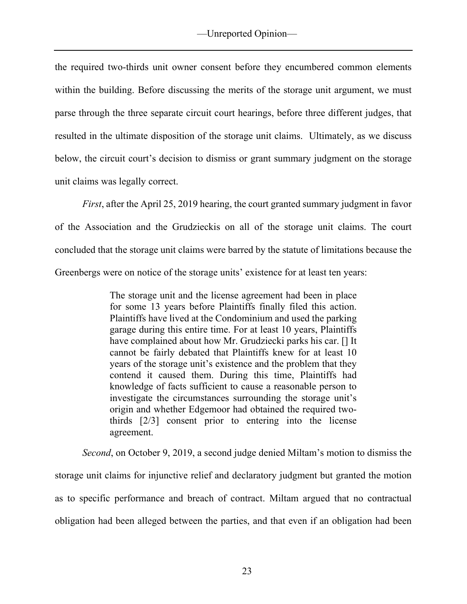the required two-thirds unit owner consent before they encumbered common elements within the building. Before discussing the merits of the storage unit argument, we must parse through the three separate circuit court hearings, before three different judges, that resulted in the ultimate disposition of the storage unit claims. Ultimately, as we discuss below, the circuit court's decision to dismiss or grant summary judgment on the storage unit claims was legally correct.

*First*, after the April 25, 2019 hearing, the court granted summary judgment in favor of the Association and the Grudzieckis on all of the storage unit claims. The court concluded that the storage unit claims were barred by the statute of limitations because the Greenbergs were on notice of the storage units' existence for at least ten years:

> The storage unit and the license agreement had been in place for some 13 years before Plaintiffs finally filed this action. Plaintiffs have lived at the Condominium and used the parking garage during this entire time. For at least 10 years, Plaintiffs have complained about how Mr. Grudziecki parks his car. [] It cannot be fairly debated that Plaintiffs knew for at least 10 years of the storage unit's existence and the problem that they contend it caused them. During this time, Plaintiffs had knowledge of facts sufficient to cause a reasonable person to investigate the circumstances surrounding the storage unit's origin and whether Edgemoor had obtained the required twothirds [2/3] consent prior to entering into the license agreement.

*Second*, on October 9, 2019, a second judge denied Miltam's motion to dismiss the storage unit claims for injunctive relief and declaratory judgment but granted the motion as to specific performance and breach of contract. Miltam argued that no contractual obligation had been alleged between the parties, and that even if an obligation had been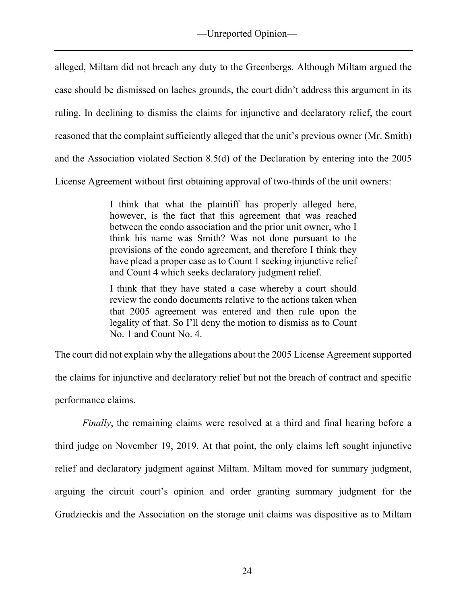alleged, Miltam did not breach any duty to the Greenbergs. Although Miltam argued the case should be dismissed on laches grounds, the court didn't address this argument in its ruling. In declining to dismiss the claims for injunctive and declaratory relief, the court reasoned that the complaint sufficiently alleged that the unit's previous owner (Mr. Smith) and the Association violated Section 8.5(d) of the Declaration by entering into the 2005 License Agreement without first obtaining approval of two-thirds of the unit owners:

> I think that what the plaintiff has properly alleged here, however, is the fact that this agreement that was reached between the condo association and the prior unit owner, who I think his name was Smith? Was not done pursuant to the provisions of the condo agreement, and therefore I think they have plead a proper case as to Count 1 seeking injunctive relief and Count 4 which seeks declaratory judgment relief.

> I think that they have stated a case whereby a court should review the condo documents relative to the actions taken when that 2005 agreement was entered and then rule upon the legality of that. So I'll deny the motion to dismiss as to Count No. 1 and Count No. 4.

The court did not explain why the allegations about the 2005 License Agreement supported the claims for injunctive and declaratory relief but not the breach of contract and specific performance claims.

*Finally*, the remaining claims were resolved at a third and final hearing before a third judge on November 19, 2019. At that point, the only claims left sought injunctive relief and declaratory judgment against Miltam. Miltam moved for summary judgment, arguing the circuit court's opinion and order granting summary judgment for the Grudzieckis and the Association on the storage unit claims was dispositive as to Miltam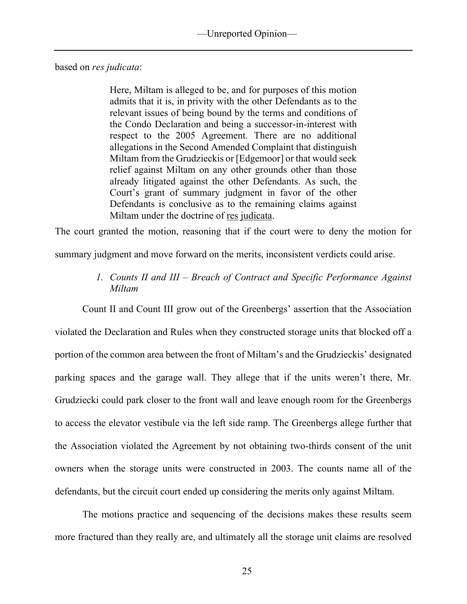based on *res judicata*:

Here, Miltam is alleged to be, and for purposes of this motion admits that it is, in privity with the other Defendants as to the relevant issues of being bound by the terms and conditions of the Condo Declaration and being a successor-in-interest with respect to the 2005 Agreement. There are no additional allegations in the Second Amended Complaint that distinguish Miltam from the Grudzieckis or [Edgemoor] or that would seek relief against Miltam on any other grounds other than those already litigated against the other Defendants. As such, the Court's grant of summary judgment in favor of the other Defendants is conclusive as to the remaining claims against Miltam under the doctrine of res judicata.

The court granted the motion, reasoning that if the court were to deny the motion for

summary judgment and move forward on the merits, inconsistent verdicts could arise.

*1. Counts II and III – Breach of Contract and Specific Performance Against Miltam*

Count II and Count III grow out of the Greenbergs' assertion that the Association violated the Declaration and Rules when they constructed storage units that blocked off a portion of the common area between the front of Miltam's and the Grudzieckis' designated parking spaces and the garage wall. They allege that if the units weren't there, Mr. Grudziecki could park closer to the front wall and leave enough room for the Greenbergs to access the elevator vestibule via the left side ramp. The Greenbergs allege further that the Association violated the Agreement by not obtaining two-thirds consent of the unit owners when the storage units were constructed in 2003. The counts name all of the defendants, but the circuit court ended up considering the merits only against Miltam.

The motions practice and sequencing of the decisions makes these results seem more fractured than they really are, and ultimately all the storage unit claims are resolved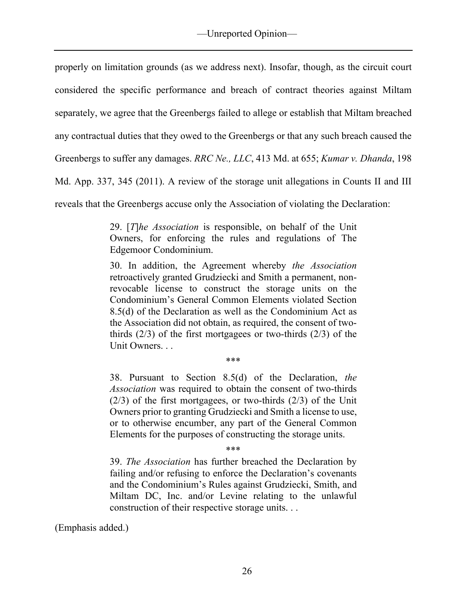properly on limitation grounds (as we address next). Insofar, though, as the circuit court considered the specific performance and breach of contract theories against Miltam separately, we agree that the Greenbergs failed to allege or establish that Miltam breached any contractual duties that they owed to the Greenbergs or that any such breach caused the Greenbergs to suffer any damages. *RRC Ne., LLC*, 413 Md. at 655; *Kumar v. Dhanda*, 198 Md. App. 337, 345 (2011). A review of the storage unit allegations in Counts II and III

reveals that the Greenbergs accuse only the Association of violating the Declaration:

29. [*T*]*he Association* is responsible, on behalf of the Unit Owners, for enforcing the rules and regulations of The Edgemoor Condominium.

30. In addition, the Agreement whereby *the Association* retroactively granted Grudziecki and Smith a permanent, nonrevocable license to construct the storage units on the Condominium's General Common Elements violated Section 8.5(d) of the Declaration as well as the Condominium Act as the Association did not obtain, as required, the consent of twothirds  $(2/3)$  of the first mortgagees or two-thirds  $(2/3)$  of the Unit Owners. . .

\*\*\*

38. Pursuant to Section 8.5(d) of the Declaration, *the Association* was required to obtain the consent of two-thirds (2/3) of the first mortgagees, or two-thirds (2/3) of the Unit Owners prior to granting Grudziecki and Smith a license to use, or to otherwise encumber, any part of the General Common Elements for the purposes of constructing the storage units.

\*\*\*

39. *The Association* has further breached the Declaration by failing and/or refusing to enforce the Declaration's covenants and the Condominium's Rules against Grudziecki, Smith, and Miltam DC, Inc. and/or Levine relating to the unlawful construction of their respective storage units. . .

(Emphasis added.)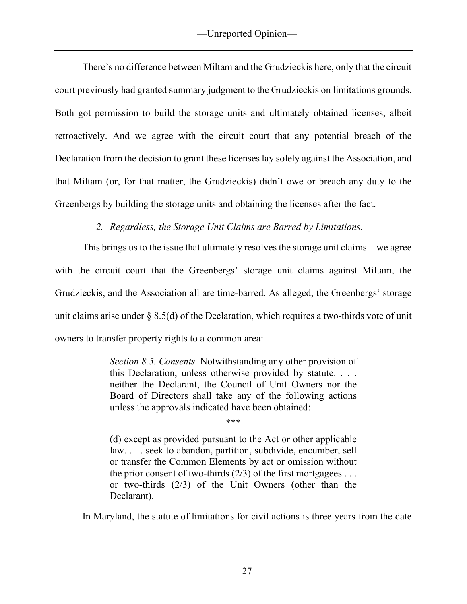There's no difference between Miltam and the Grudzieckis here, only that the circuit court previously had granted summary judgment to the Grudzieckis on limitations grounds. Both got permission to build the storage units and ultimately obtained licenses, albeit retroactively. And we agree with the circuit court that any potential breach of the Declaration from the decision to grant these licenses lay solely against the Association, and that Miltam (or, for that matter, the Grudzieckis) didn't owe or breach any duty to the Greenbergs by building the storage units and obtaining the licenses after the fact.

*2. Regardless, the Storage Unit Claims are Barred by Limitations.*

This brings us to the issue that ultimately resolves the storage unit claims—we agree with the circuit court that the Greenbergs' storage unit claims against Miltam, the Grudzieckis, and the Association all are time-barred. As alleged, the Greenbergs' storage unit claims arise under § 8.5(d) of the Declaration, which requires a two-thirds vote of unit owners to transfer property rights to a common area:

> *Section 8.5. Consents.* Notwithstanding any other provision of this Declaration, unless otherwise provided by statute. . . . neither the Declarant, the Council of Unit Owners nor the Board of Directors shall take any of the following actions unless the approvals indicated have been obtained:

> > \*\*\*

(d) except as provided pursuant to the Act or other applicable law. . . . seek to abandon, partition, subdivide, encumber, sell or transfer the Common Elements by act or omission without the prior consent of two-thirds  $(2/3)$  of the first mortgagees ... or two-thirds (2/3) of the Unit Owners (other than the Declarant).

In Maryland, the statute of limitations for civil actions is three years from the date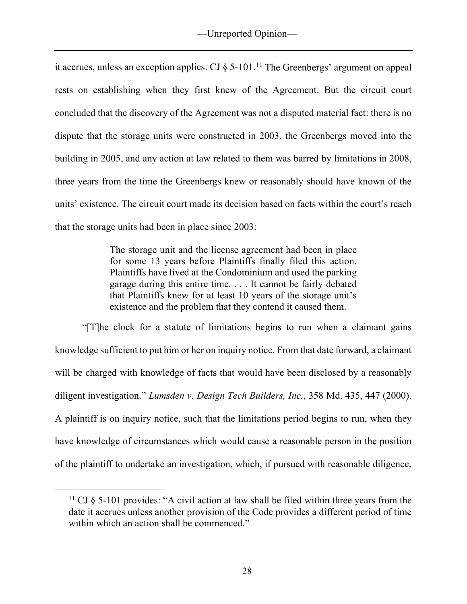it accrues, unless an exception applies. CJ  $\S$  5-101.<sup>[11](#page-28-0)</sup> The Greenbergs' argument on appeal rests on establishing when they first knew of the Agreement. But the circuit court concluded that the discovery of the Agreement was not a disputed material fact: there is no dispute that the storage units were constructed in 2003, the Greenbergs moved into the building in 2005, and any action at law related to them was barred by limitations in 2008, three years from the time the Greenbergs knew or reasonably should have known of the units' existence. The circuit court made its decision based on facts within the court's reach that the storage units had been in place since 2003:

> The storage unit and the license agreement had been in place for some 13 years before Plaintiffs finally filed this action. Plaintiffs have lived at the Condominium and used the parking garage during this entire time. . . . It cannot be fairly debated that Plaintiffs knew for at least 10 years of the storage unit's existence and the problem that they contend it caused them.

"[T]he clock for a statute of limitations begins to run when a claimant gains knowledge sufficient to put him or her on inquiry notice. From that date forward, a claimant will be charged with knowledge of facts that would have been disclosed by a reasonably diligent investigation." *Lumsden v. Design Tech Builders, Inc.*, 358 Md. 435, 447 (2000). A plaintiff is on inquiry notice, such that the limitations period begins to run, when they have knowledge of circumstances which would cause a reasonable person in the position of the plaintiff to undertake an investigation, which, if pursued with reasonable diligence,

<span id="page-28-0"></span><sup>&</sup>lt;sup>11</sup> CJ  $\zeta$  5-101 provides: "A civil action at law shall be filed within three years from the date it accrues unless another provision of the Code provides a different period of time within which an action shall be commenced."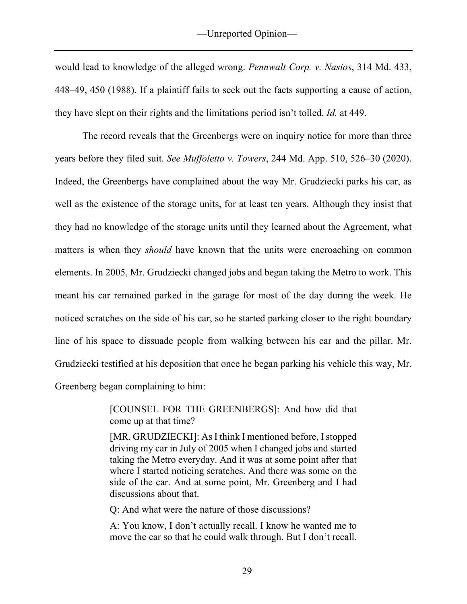would lead to knowledge of the alleged wrong. *Pennwalt Corp. v. Nasios*, 314 Md. 433, 448–49, 450 (1988). If a plaintiff fails to seek out the facts supporting a cause of action, they have slept on their rights and the limitations period isn't tolled. *Id.* at 449.

The record reveals that the Greenbergs were on inquiry notice for more than three years before they filed suit. *See Muffoletto v. Towers*, 244 Md. App. 510, 526–30 (2020). Indeed, the Greenbergs have complained about the way Mr. Grudziecki parks his car, as well as the existence of the storage units, for at least ten years. Although they insist that they had no knowledge of the storage units until they learned about the Agreement, what matters is when they *should* have known that the units were encroaching on common elements. In 2005, Mr. Grudziecki changed jobs and began taking the Metro to work. This meant his car remained parked in the garage for most of the day during the week. He noticed scratches on the side of his car, so he started parking closer to the right boundary line of his space to dissuade people from walking between his car and the pillar. Mr. Grudziecki testified at his deposition that once he began parking his vehicle this way, Mr. Greenberg began complaining to him:

> [COUNSEL FOR THE GREENBERGS]: And how did that come up at that time?

> [MR. GRUDZIECKI]: As I think I mentioned before, I stopped driving my car in July of 2005 when I changed jobs and started taking the Metro everyday. And it was at some point after that where I started noticing scratches. And there was some on the side of the car. And at some point, Mr. Greenberg and I had discussions about that.

Q: And what were the nature of those discussions?

A: You know, I don't actually recall. I know he wanted me to move the car so that he could walk through. But I don't recall.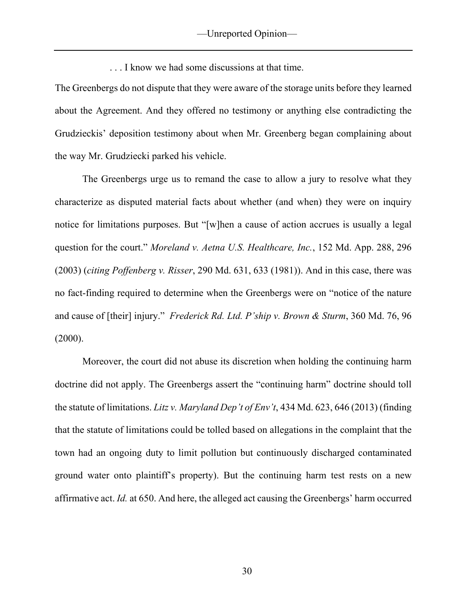. . . I know we had some discussions at that time.

The Greenbergs do not dispute that they were aware of the storage units before they learned about the Agreement. And they offered no testimony or anything else contradicting the Grudzieckis' deposition testimony about when Mr. Greenberg began complaining about the way Mr. Grudziecki parked his vehicle.

The Greenbergs urge us to remand the case to allow a jury to resolve what they characterize as disputed material facts about whether (and when) they were on inquiry notice for limitations purposes. But "[w]hen a cause of action accrues is usually a legal question for the court." *Moreland v. Aetna U.S. Healthcare, Inc.*, 152 Md. App. 288, 296 (2003) (*citing Poffenberg v. Risser*, 290 Md. 631, 633 (1981)). And in this case, there was no fact-finding required to determine when the Greenbergs were on "notice of the nature and cause of [their] injury." *Frederick Rd. Ltd. P'ship v. Brown & Sturm*, 360 Md. 76, 96 (2000).

Moreover, the court did not abuse its discretion when holding the continuing harm doctrine did not apply. The Greenbergs assert the "continuing harm" doctrine should toll the statute of limitations. *Litz v. Maryland Dep't of Env't*, 434 Md. 623, 646 (2013) (finding that the statute of limitations could be tolled based on allegations in the complaint that the town had an ongoing duty to limit pollution but continuously discharged contaminated ground water onto plaintiff's property). But the continuing harm test rests on a new affirmative act. *Id.* at 650. And here, the alleged act causing the Greenbergs' harm occurred